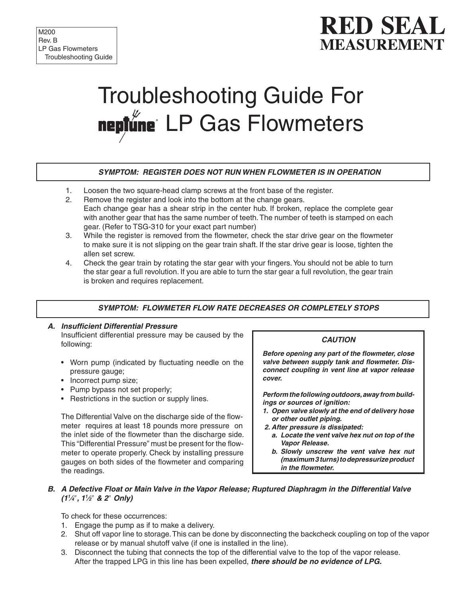# **RED SEA MEASUREMENT**

# Troubleshooting Guide For neptune LP Gas Flowmeters

# **SYMPTOM: REGISTER DOES NOT RUN WHEN FLOWMETER IS IN OPERATION**

- 1. Loosen the two square-head clamp screws at the front base of the register.
- 2. Remove the register and look into the bottom at the change gears. Each change gear has a shear strip in the center hub. If broken, replace the complete gear with another gear that has the same number of teeth. The number of teeth is stamped on each gear. (Refer to TSG-310 for your exact part number)
- 3. While the register is removed from the flowmeter, check the star drive gear on the flowmeter to make sure it is not slipping on the gear train shaft. If the star drive gear is loose, tighten the allen set screw.
- 4. Check the gear train by rotating the star gear with your fingers. You should not be able to turn the star gear a full revolution. If you are able to turn the star gear a full revolution, the gear train is broken and requires replacement.

# **SYMPTOM: FLOWMETER FLOW RATE DECREASES OR COMPLETELY STOPS**

### **A. Insufficient Differential Pressure** Insufficient differential pressure may be caused by the following:

- Worn pump (indicated by fluctuating needle on the pressure gauge;
- Incorrect pump size;
- Pump bypass not set properly;
- Restrictions in the suction or supply lines.

The Differential Valve on the discharge side of the flowmeter requires at least 18 pounds more pressure on the inlet side of the flowmeter than the discharge side. This "Differential Pressure" must be present for the flowmeter to operate properly. Check by installing pressure gauges on both sides of the flowmeter and comparing the readings.

#### **CAUTION**

**Before opening any part of the flowmeter, close valve between supply tank and flowmeter. Disconnect coupling in vent line at vapor release cover.** 

**Perform the following outdoors, away from buildings or sources of ignition:**

- **1. Open valve slowly at the end of delivery hose or other outlet piping.**
- **2. After pressure is dissipated:**
	- **a. Locate the vent valve hex nut on top of the Vapor Release.**
	- **b. Slowly unscrew the vent valve hex nut (maximum 3 turns) to depressurize product in the flowmeter.**

#### **B. A Defective Float or Main Valve in the Vapor Release; Ruptured Diaphragm in the Differential Valve (11 ⁄4**ʺ**, 11 ⁄2**ʺ **& 2**ʺ **Only)**

To check for these occurrences:

- 1. Engage the pump as if to make a delivery.
- 2. Shut off vapor line to storage. This can be done by disconnecting the backcheck coupling on top of the vapor release or by manual shutoff valve (if one is installed in the line).
- 3. Disconnect the tubing that connects the top of the differential valve to the top of the vapor release. After the trapped LPG in this line has been expelled, **there should be no evidence of LPG.**